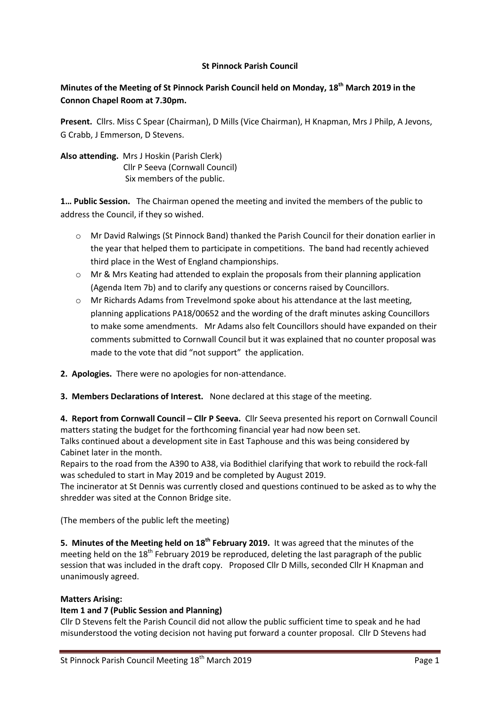## **St Pinnock Parish Council**

# **Minutes of the Meeting of St Pinnock Parish Council held on Monday, 18th March 2019 in the Connon Chapel Room at 7.30pm.**

**Present.** Cllrs. Miss C Spear (Chairman), D Mills (Vice Chairman), H Knapman, Mrs J Philp, A Jevons, G Crabb, J Emmerson, D Stevens.

**Also attending.** Mrs J Hoskin (Parish Clerk) Cllr P Seeva (Cornwall Council) Six members of the public.

**1… Public Session.** The Chairman opened the meeting and invited the members of the public to address the Council, if they so wished.

- o Mr David Ralwings (St Pinnock Band) thanked the Parish Council for their donation earlier in the year that helped them to participate in competitions. The band had recently achieved third place in the West of England championships.
- $\circ$  Mr & Mrs Keating had attended to explain the proposals from their planning application (Agenda Item 7b) and to clarify any questions or concerns raised by Councillors.
- $\circ$  Mr Richards Adams from Trevelmond spoke about his attendance at the last meeting, planning applications PA18/00652 and the wording of the draft minutes asking Councillors to make some amendments. Mr Adams also felt Councillors should have expanded on their comments submitted to Cornwall Council but it was explained that no counter proposal was made to the vote that did "not support" the application.
- **2. Apologies.** There were no apologies for non-attendance.
- **3. Members Declarations of Interest.** None declared at this stage of the meeting.

**4. Report from Cornwall Council – Cllr P Seeva.** Cllr Seeva presented his report on Cornwall Council matters stating the budget for the forthcoming financial year had now been set.

Talks continued about a development site in East Taphouse and this was being considered by Cabinet later in the month.

Repairs to the road from the A390 to A38, via Bodithiel clarifying that work to rebuild the rock-fall was scheduled to start in May 2019 and be completed by August 2019.

The incinerator at St Dennis was currently closed and questions continued to be asked as to why the shredder was sited at the Connon Bridge site.

(The members of the public left the meeting)

**5. Minutes of the Meeting held on 18th February 2019.** It was agreed that the minutes of the meeting held on the 18<sup>th</sup> February 2019 be reproduced, deleting the last paragraph of the public session that was included in the draft copy. Proposed Cllr D Mills, seconded Cllr H Knapman and unanimously agreed.

### **Matters Arising:**

### **Item 1 and 7 (Public Session and Planning)**

Cllr D Stevens felt the Parish Council did not allow the public sufficient time to speak and he had misunderstood the voting decision not having put forward a counter proposal. Cllr D Stevens had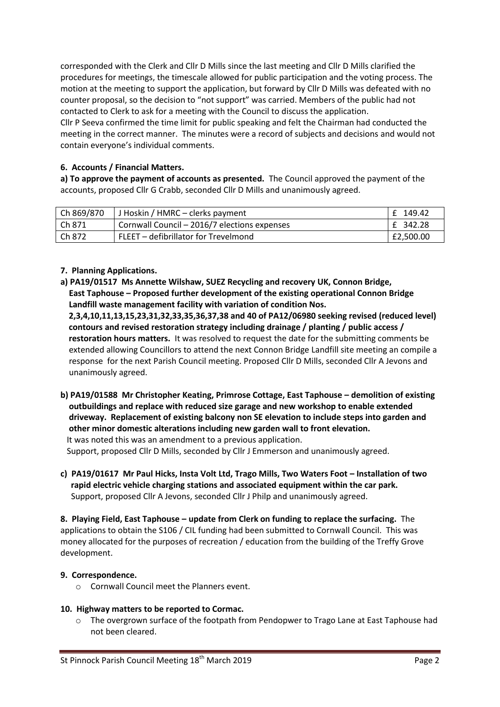corresponded with the Clerk and Cllr D Mills since the last meeting and Cllr D Mills clarified the procedures for meetings, the timescale allowed for public participation and the voting process. The motion at the meeting to support the application, but forward by Cllr D Mills was defeated with no counter proposal, so the decision to "not support" was carried. Members of the public had not contacted to Clerk to ask for a meeting with the Council to discuss the application.

Cllr P Seeva confirmed the time limit for public speaking and felt the Chairman had conducted the meeting in the correct manner. The minutes were a record of subjects and decisions and would not contain everyone's individual comments.

# **6. Accounts / Financial Matters.**

**a) To approve the payment of accounts as presented.** The Council approved the payment of the accounts, proposed Cllr G Crabb, seconded Cllr D Mills and unanimously agreed.

| Ch 869/870 | J Hoskin / HMRC – clerks payment             | f 149.42  |
|------------|----------------------------------------------|-----------|
| Ch 871     | Cornwall Council - 2016/7 elections expenses | £ 342.28  |
| Ch 872     | FLEET - defibrillator for Trevelmond         | £2,500.00 |

# **7. Planning Applications.**

**a) PA19/01517 Ms Annette Wilshaw, SUEZ Recycling and recovery UK, Connon Bridge, East Taphouse – Proposed further development of the existing operational Connon Bridge Landfill waste management facility with variation of condition Nos.** 

 **2,3,4,10,11,13,15,23,31,32,33,35,36,37,38 and 40 of PA12/06980 seeking revised (reduced level) contours and revised restoration strategy including drainage / planting / public access / restoration hours matters.** It was resolved to request the date for the submitting comments be extended allowing Councillors to attend the next Connon Bridge Landfill site meeting an compile a response for the next Parish Council meeting. Proposed Cllr D Mills, seconded Cllr A Jevons and unanimously agreed.

**b) PA19/01588 Mr Christopher Keating, Primrose Cottage, East Taphouse – demolition of existing outbuildings and replace with reduced size garage and new workshop to enable extended driveway. Replacement of existing balcony non SE elevation to include steps into garden and other minor domestic alterations including new garden wall to front elevation.** It was noted this was an amendment to a previous application.

Support, proposed Cllr D Mills, seconded by Cllr J Emmerson and unanimously agreed.

**c) PA19/01617 Mr Paul Hicks, Insta Volt Ltd, Trago Mills, Two Waters Foot – Installation of two rapid electric vehicle charging stations and associated equipment within the car park.**  Support, proposed Cllr A Jevons, seconded Cllr J Philp and unanimously agreed.

**8. Playing Field, East Taphouse – update from Clerk on funding to replace the surfacing.** The applications to obtain the S106 / CIL funding had been submitted to Cornwall Council. This was money allocated for the purposes of recreation / education from the building of the Treffy Grove development.

# **9. Correspondence.**

o Cornwall Council meet the Planners event.

### **10. Highway matters to be reported to Cormac.**

o The overgrown surface of the footpath from Pendopwer to Trago Lane at East Taphouse had not been cleared.